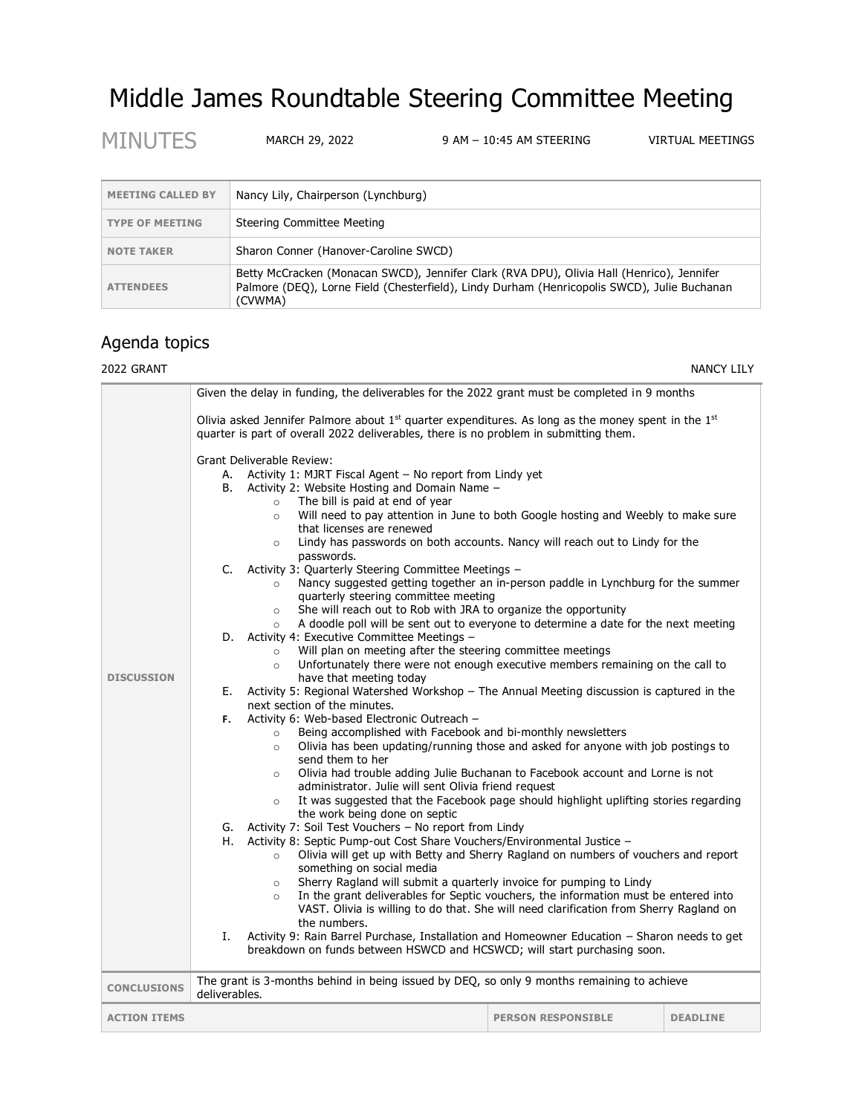# Middle James Roundtable Steering Committee Meeting

MINUTES MARCH 29, 2022 9 AM - 10:45 AM STEERING VIRTUAL MEETINGS

| <b>MEETING CALLED BY</b> | Nancy Lily, Chairperson (Lynchburg)                                                                                                                                                                 |
|--------------------------|-----------------------------------------------------------------------------------------------------------------------------------------------------------------------------------------------------|
| <b>TYPE OF MEETING</b>   | Steering Committee Meeting                                                                                                                                                                          |
| <b>NOTE TAKER</b>        | Sharon Conner (Hanover-Caroline SWCD)                                                                                                                                                               |
| <b>ATTENDEES</b>         | Betty McCracken (Monacan SWCD), Jennifer Clark (RVA DPU), Olivia Hall (Henrico), Jennifer<br>Palmore (DEO), Lorne Field (Chesterfield), Lindy Durham (Henricopolis SWCD), Julie Buchanan<br>(CVWMA) |

## Agenda topics

### 2022 GRANT NANCY LILY

|                     | Given the delay in funding, the deliverables for the 2022 grant must be completed in 9 months                                                                                                                                                                                                                                                                                                                                                                                                                                                                                                                                                                                                                                                                                                                                                                                                                                                                                                                                                                                                                                                                                                                                                                                                                                                                                                                                                                                                                                                                                                                                                                                                                                                                                                                                                                                                                                                                                                                                                                                                                                                                                                                                                                                                                                                                                                                                                                                                                          |                           |                 |  |
|---------------------|------------------------------------------------------------------------------------------------------------------------------------------------------------------------------------------------------------------------------------------------------------------------------------------------------------------------------------------------------------------------------------------------------------------------------------------------------------------------------------------------------------------------------------------------------------------------------------------------------------------------------------------------------------------------------------------------------------------------------------------------------------------------------------------------------------------------------------------------------------------------------------------------------------------------------------------------------------------------------------------------------------------------------------------------------------------------------------------------------------------------------------------------------------------------------------------------------------------------------------------------------------------------------------------------------------------------------------------------------------------------------------------------------------------------------------------------------------------------------------------------------------------------------------------------------------------------------------------------------------------------------------------------------------------------------------------------------------------------------------------------------------------------------------------------------------------------------------------------------------------------------------------------------------------------------------------------------------------------------------------------------------------------------------------------------------------------------------------------------------------------------------------------------------------------------------------------------------------------------------------------------------------------------------------------------------------------------------------------------------------------------------------------------------------------------------------------------------------------------------------------------------------------|---------------------------|-----------------|--|
|                     | Olivia asked Jennifer Palmore about $1st$ quarter expenditures. As long as the money spent in the $1st$<br>quarter is part of overall 2022 deliverables, there is no problem in submitting them.                                                                                                                                                                                                                                                                                                                                                                                                                                                                                                                                                                                                                                                                                                                                                                                                                                                                                                                                                                                                                                                                                                                                                                                                                                                                                                                                                                                                                                                                                                                                                                                                                                                                                                                                                                                                                                                                                                                                                                                                                                                                                                                                                                                                                                                                                                                       |                           |                 |  |
| <b>DISCUSSION</b>   | Grant Deliverable Review:<br>Activity 1: MJRT Fiscal Agent - No report from Lindy yet<br>А.<br>Activity 2: Website Hosting and Domain Name -<br>В.<br>The bill is paid at end of year<br>$\circ$<br>Will need to pay attention in June to both Google hosting and Weebly to make sure<br>$\circ$<br>that licenses are renewed<br>Lindy has passwords on both accounts. Nancy will reach out to Lindy for the<br>$\circ$<br>passwords.<br>C.<br>Activity 3: Quarterly Steering Committee Meetings -<br>Nancy suggested getting together an in-person paddle in Lynchburg for the summer<br>$\circ$<br>quarterly steering committee meeting<br>She will reach out to Rob with JRA to organize the opportunity<br>$\circ$<br>A doodle poll will be sent out to everyone to determine a date for the next meeting<br>$\circ$<br>D. Activity 4: Executive Committee Meetings -<br>Will plan on meeting after the steering committee meetings<br>$\circ$<br>Unfortunately there were not enough executive members remaining on the call to<br>$\circ$<br>have that meeting today<br>Activity 5: Regional Watershed Workshop - The Annual Meeting discussion is captured in the<br>Е.<br>next section of the minutes.<br>Activity 6: Web-based Electronic Outreach -<br>F.<br>Being accomplished with Facebook and bi-monthly newsletters<br>$\circ$<br>Olivia has been updating/running those and asked for anyone with job postings to<br>$\circ$<br>send them to her<br>Olivia had trouble adding Julie Buchanan to Facebook account and Lorne is not<br>$\circ$<br>administrator. Julie will sent Olivia friend request<br>It was suggested that the Facebook page should highlight uplifting stories regarding<br>$\circ$<br>the work being done on septic<br>Activity 7: Soil Test Vouchers - No report from Lindy<br>G.<br>Activity 8: Septic Pump-out Cost Share Vouchers/Environmental Justice -<br>Н.<br>Olivia will get up with Betty and Sherry Ragland on numbers of vouchers and report<br>$\circ$<br>something on social media<br>Sherry Ragland will submit a quarterly invoice for pumping to Lindy<br>$\circ$<br>In the grant deliverables for Septic vouchers, the information must be entered into<br>$\circ$<br>VAST. Olivia is willing to do that. She will need clarification from Sherry Ragland on<br>the numbers.<br>Activity 9: Rain Barrel Purchase, Installation and Homeowner Education - Sharon needs to get<br>Ι.<br>breakdown on funds between HSWCD and HCSWCD; will start purchasing soon. |                           |                 |  |
|                     |                                                                                                                                                                                                                                                                                                                                                                                                                                                                                                                                                                                                                                                                                                                                                                                                                                                                                                                                                                                                                                                                                                                                                                                                                                                                                                                                                                                                                                                                                                                                                                                                                                                                                                                                                                                                                                                                                                                                                                                                                                                                                                                                                                                                                                                                                                                                                                                                                                                                                                                        |                           |                 |  |
| <b>CONCLUSIONS</b>  | The grant is 3-months behind in being issued by DEQ, so only 9 months remaining to achieve<br>deliverables.                                                                                                                                                                                                                                                                                                                                                                                                                                                                                                                                                                                                                                                                                                                                                                                                                                                                                                                                                                                                                                                                                                                                                                                                                                                                                                                                                                                                                                                                                                                                                                                                                                                                                                                                                                                                                                                                                                                                                                                                                                                                                                                                                                                                                                                                                                                                                                                                            |                           |                 |  |
| <b>ACTION ITEMS</b> |                                                                                                                                                                                                                                                                                                                                                                                                                                                                                                                                                                                                                                                                                                                                                                                                                                                                                                                                                                                                                                                                                                                                                                                                                                                                                                                                                                                                                                                                                                                                                                                                                                                                                                                                                                                                                                                                                                                                                                                                                                                                                                                                                                                                                                                                                                                                                                                                                                                                                                                        | <b>PERSON RESPONSIBLE</b> | <b>DEADLINE</b> |  |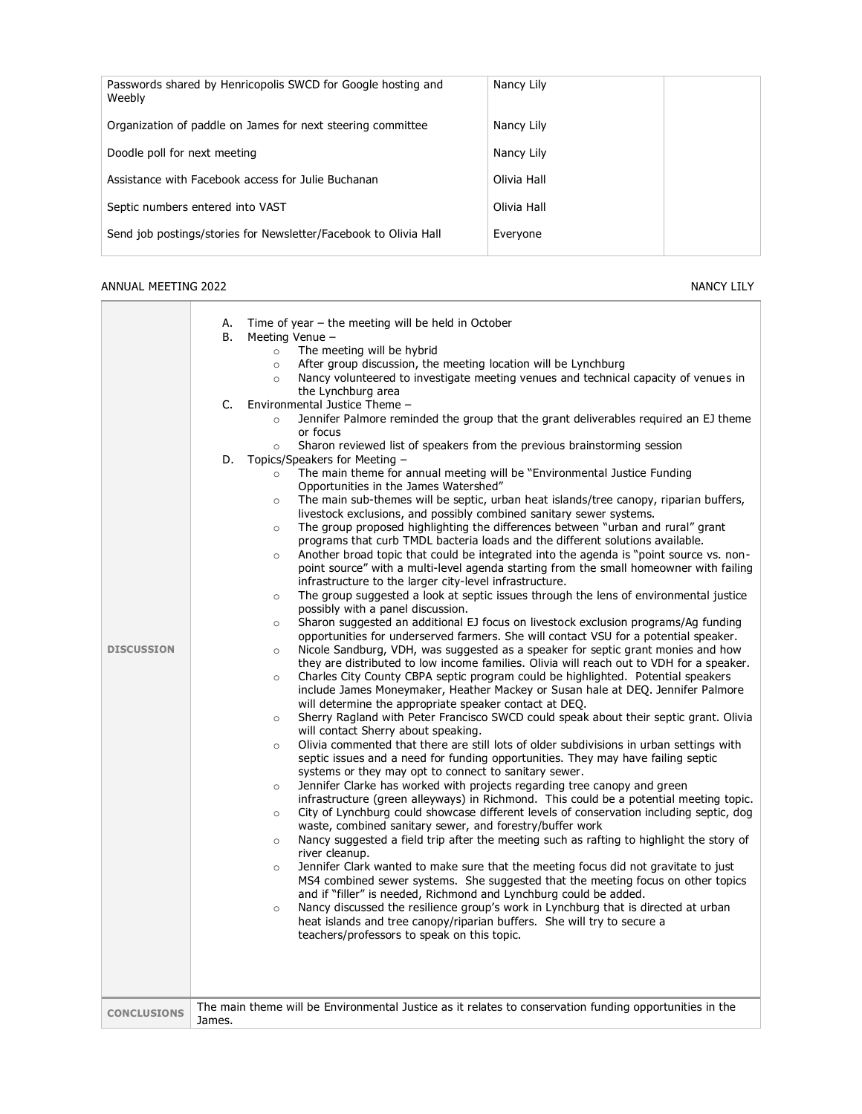| Passwords shared by Henricopolis SWCD for Google hosting and<br>Weebly | Nancy Lily  |
|------------------------------------------------------------------------|-------------|
| Organization of paddle on James for next steering committee            | Nancy Lily  |
| Doodle poll for next meeting                                           | Nancy Lily  |
| Assistance with Facebook access for Julie Buchanan                     | Olivia Hall |
| Septic numbers entered into VAST                                       | Olivia Hall |
| Send job postings/stories for Newsletter/Facebook to Olivia Hall       | Everyone    |

#### ANNUAL MEETING 2022 NANCY LILY

| <b>DISCUSSION</b>  | Time of year $-$ the meeting will be held in October<br>А.<br><b>B.</b><br>Meeting Venue -<br>The meeting will be hybrid<br>$\circ$<br>After group discussion, the meeting location will be Lynchburg<br>$\circ$<br>Nancy volunteered to investigate meeting venues and technical capacity of venues in<br>$\circ$<br>the Lynchburg area<br>Environmental Justice Theme -<br>C.<br>Jennifer Palmore reminded the group that the grant deliverables required an EJ theme<br>or focus<br>Sharon reviewed list of speakers from the previous brainstorming session<br>$\circ$<br>Topics/Speakers for Meeting -<br>D.<br>The main theme for annual meeting will be "Environmental Justice Funding<br>$\circ$<br>Opportunities in the James Watershed"<br>The main sub-themes will be septic, urban heat islands/tree canopy, riparian buffers,<br>$\circ$<br>livestock exclusions, and possibly combined sanitary sewer systems.<br>The group proposed highlighting the differences between "urban and rural" grant<br>$\circ$<br>programs that curb TMDL bacteria loads and the different solutions available.<br>Another broad topic that could be integrated into the agenda is "point source vs. non-<br>$\circ$<br>point source" with a multi-level agenda starting from the small homeowner with failing<br>infrastructure to the larger city-level infrastructure.<br>The group suggested a look at septic issues through the lens of environmental justice<br>$\circ$<br>possibly with a panel discussion.<br>Sharon suggested an additional EJ focus on livestock exclusion programs/Ag funding<br>$\circ$<br>opportunities for underserved farmers. She will contact VSU for a potential speaker.<br>Nicole Sandburg, VDH, was suggested as a speaker for septic grant monies and how<br>$\circ$<br>they are distributed to low income families. Olivia will reach out to VDH for a speaker.<br>Charles City County CBPA septic program could be highlighted. Potential speakers<br>$\circ$<br>include James Moneymaker, Heather Mackey or Susan hale at DEQ. Jennifer Palmore<br>will determine the appropriate speaker contact at DEQ.<br>Sherry Ragland with Peter Francisco SWCD could speak about their septic grant. Olivia<br>$\circ$<br>will contact Sherry about speaking.<br>Olivia commented that there are still lots of older subdivisions in urban settings with<br>$\circ$<br>septic issues and a need for funding opportunities. They may have failing septic<br>systems or they may opt to connect to sanitary sewer.<br>Jennifer Clarke has worked with projects regarding tree canopy and green<br>$\circ$<br>infrastructure (green alleyways) in Richmond. This could be a potential meeting topic.<br>City of Lynchburg could showcase different levels of conservation including septic, dog<br>$\circ$<br>waste, combined sanitary sewer, and forestry/buffer work<br>Nancy suggested a field trip after the meeting such as rafting to highlight the story of<br>$\circ$<br>river cleanup.<br>Jennifer Clark wanted to make sure that the meeting focus did not gravitate to just<br>$\circ$<br>MS4 combined sewer systems. She suggested that the meeting focus on other topics<br>and if "filler" is needed, Richmond and Lynchburg could be added.<br>Nancy discussed the resilience group's work in Lynchburg that is directed at urban<br>$\circ$<br>heat islands and tree canopy/riparian buffers. She will try to secure a<br>teachers/professors to speak on this topic.<br>The main theme will be Environmental Justice as it relates to conservation funding opportunities in the |
|--------------------|---------------------------------------------------------------------------------------------------------------------------------------------------------------------------------------------------------------------------------------------------------------------------------------------------------------------------------------------------------------------------------------------------------------------------------------------------------------------------------------------------------------------------------------------------------------------------------------------------------------------------------------------------------------------------------------------------------------------------------------------------------------------------------------------------------------------------------------------------------------------------------------------------------------------------------------------------------------------------------------------------------------------------------------------------------------------------------------------------------------------------------------------------------------------------------------------------------------------------------------------------------------------------------------------------------------------------------------------------------------------------------------------------------------------------------------------------------------------------------------------------------------------------------------------------------------------------------------------------------------------------------------------------------------------------------------------------------------------------------------------------------------------------------------------------------------------------------------------------------------------------------------------------------------------------------------------------------------------------------------------------------------------------------------------------------------------------------------------------------------------------------------------------------------------------------------------------------------------------------------------------------------------------------------------------------------------------------------------------------------------------------------------------------------------------------------------------------------------------------------------------------------------------------------------------------------------------------------------------------------------------------------------------------------------------------------------------------------------------------------------------------------------------------------------------------------------------------------------------------------------------------------------------------------------------------------------------------------------------------------------------------------------------------------------------------------------------------------------------------------------------------------------------------------------------------------------------------------------------------------------------------------------------------------------------------------------------------------------------------------------------------------------------------------------------------------------------------------------------------------------------------------------------------------------------------------------------------------------------------------------------|
| <b>CONCLUSIONS</b> | James.                                                                                                                                                                                                                                                                                                                                                                                                                                                                                                                                                                                                                                                                                                                                                                                                                                                                                                                                                                                                                                                                                                                                                                                                                                                                                                                                                                                                                                                                                                                                                                                                                                                                                                                                                                                                                                                                                                                                                                                                                                                                                                                                                                                                                                                                                                                                                                                                                                                                                                                                                                                                                                                                                                                                                                                                                                                                                                                                                                                                                                                                                                                                                                                                                                                                                                                                                                                                                                                                                                                                                                                                                    |